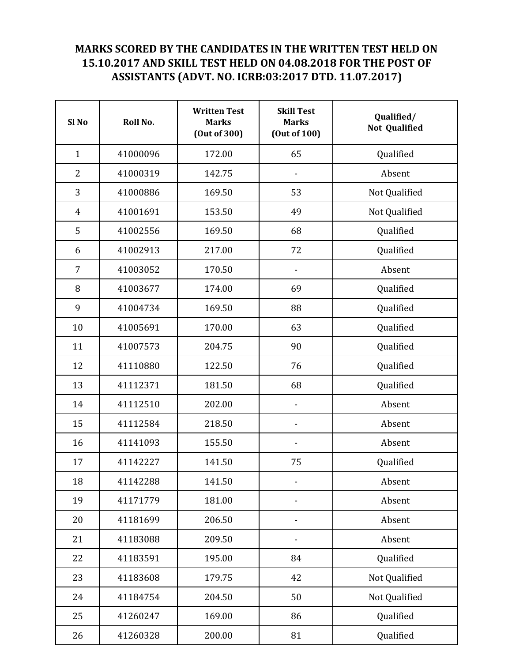## MARKS SCORED BY THE CANDIDATES IN THE WRITTEN TEST HELD ON 15.10.2017 AND SKILL TEST HELD ON 04.08.2018 FOR THE POST OF ASSISTANTS (ADVT. NO. ICRB:03:2017 DTD. 11.07.2017)

| Sl <sub>No</sub> | Roll No. | <b>Written Test</b><br><b>Marks</b><br>(Out of 300) | <b>Skill Test</b><br><b>Marks</b><br>(Out of 100) | Qualified/<br><b>Not Qualified</b> |
|------------------|----------|-----------------------------------------------------|---------------------------------------------------|------------------------------------|
| $\mathbf{1}$     | 41000096 | 172.00                                              | 65                                                | Qualified                          |
| $\overline{2}$   | 41000319 | 142.75                                              |                                                   | Absent                             |
| 3                | 41000886 | 169.50                                              | 53                                                | Not Qualified                      |
| $\overline{4}$   | 41001691 | 153.50                                              | 49                                                | Not Qualified                      |
| 5                | 41002556 | 169.50                                              | 68                                                | Qualified                          |
| 6                | 41002913 | 217.00                                              | 72                                                | Qualified                          |
| 7                | 41003052 | 170.50                                              |                                                   | Absent                             |
| 8                | 41003677 | 174.00                                              | 69                                                | Qualified                          |
| 9                | 41004734 | 169.50                                              | 88                                                | Qualified                          |
| 10               | 41005691 | 170.00                                              | 63                                                | Qualified                          |
| 11               | 41007573 | 204.75                                              | 90                                                | Qualified                          |
| 12               | 41110880 | 122.50                                              | 76                                                | Qualified                          |
| 13               | 41112371 | 181.50                                              | 68                                                | Qualified                          |
| 14               | 41112510 | 202.00                                              | $\overline{\phantom{0}}$                          | Absent                             |
| 15               | 41112584 | 218.50                                              | $\qquad \qquad \blacksquare$                      | Absent                             |
| 16               | 41141093 | 155.50                                              |                                                   | Absent                             |
| 17               | 41142227 | 141.50                                              | 75                                                | Qualified                          |
| 18               | 41142288 | 141.50                                              |                                                   | Absent                             |
| 19               | 41171779 | 181.00                                              |                                                   | Absent                             |
| 20               | 41181699 | 206.50                                              | -                                                 | Absent                             |
| 21               | 41183088 | 209.50                                              |                                                   | Absent                             |
| 22               | 41183591 | 195.00                                              | 84                                                | Qualified                          |
| 23               | 41183608 | 179.75                                              | 42                                                | Not Qualified                      |
| 24               | 41184754 | 204.50                                              | 50                                                | Not Qualified                      |
| 25               | 41260247 | 169.00                                              | 86                                                | Qualified                          |
| 26               | 41260328 | 200.00                                              | 81                                                | Qualified                          |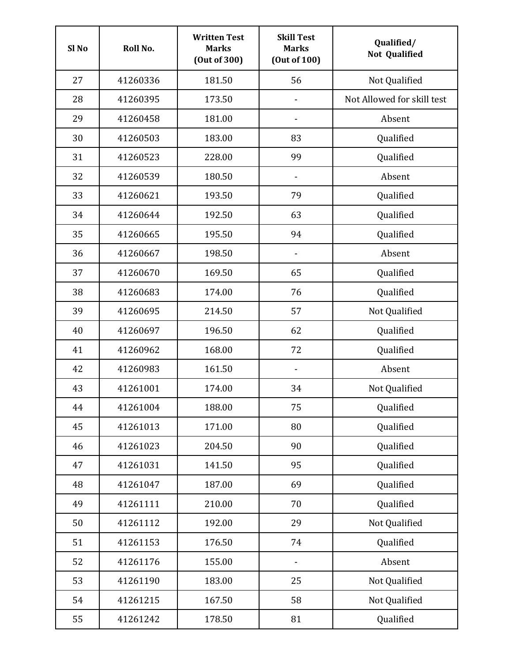| Sl <sub>No</sub> | Roll No. | <b>Written Test</b><br><b>Marks</b><br>(Out of 300) | <b>Skill Test</b><br><b>Marks</b><br>(Out of 100) | Qualified/<br><b>Not Qualified</b> |
|------------------|----------|-----------------------------------------------------|---------------------------------------------------|------------------------------------|
| 27               | 41260336 | 181.50                                              | 56                                                | Not Qualified                      |
| 28               | 41260395 | 173.50                                              |                                                   | Not Allowed for skill test         |
| 29               | 41260458 | 181.00                                              |                                                   | Absent                             |
| 30               | 41260503 | 183.00                                              | 83                                                | Qualified                          |
| 31               | 41260523 | 228.00                                              | 99                                                | Qualified                          |
| 32               | 41260539 | 180.50                                              | $\qquad \qquad \blacksquare$                      | Absent                             |
| 33               | 41260621 | 193.50                                              | 79                                                | Qualified                          |
| 34               | 41260644 | 192.50                                              | 63                                                | Qualified                          |
| 35               | 41260665 | 195.50                                              | 94                                                | Qualified                          |
| 36               | 41260667 | 198.50                                              |                                                   | Absent                             |
| 37               | 41260670 | 169.50                                              | 65                                                | Qualified                          |
| 38               | 41260683 | 174.00                                              | 76                                                | Qualified                          |
| 39               | 41260695 | 214.50                                              | 57                                                | Not Qualified                      |
| 40               | 41260697 | 196.50                                              | 62                                                | Qualified                          |
| 41               | 41260962 | 168.00                                              | 72                                                | Qualified                          |
| 42               | 41260983 | 161.50                                              | $\qquad \qquad \blacksquare$                      | Absent                             |
| 43               | 41261001 | 174.00                                              | 34                                                | Not Qualified                      |
| 44               | 41261004 | 188.00                                              | 75                                                | Qualified                          |
| 45               | 41261013 | 171.00                                              | 80                                                | Qualified                          |
| 46               | 41261023 | 204.50                                              | 90                                                | Qualified                          |
| 47               | 41261031 | 141.50                                              | 95                                                | Qualified                          |
| 48               | 41261047 | 187.00                                              | 69                                                | Qualified                          |
| 49               | 41261111 | 210.00                                              | 70                                                | Qualified                          |
| 50               | 41261112 | 192.00                                              | 29                                                | Not Qualified                      |
| 51               | 41261153 | 176.50                                              | 74                                                | Qualified                          |
| 52               | 41261176 | 155.00                                              | $\qquad \qquad \blacksquare$                      | Absent                             |
| 53               | 41261190 | 183.00                                              | 25                                                | Not Qualified                      |
| 54               | 41261215 | 167.50                                              | 58                                                | Not Qualified                      |
| 55               | 41261242 | 178.50                                              | 81                                                | Qualified                          |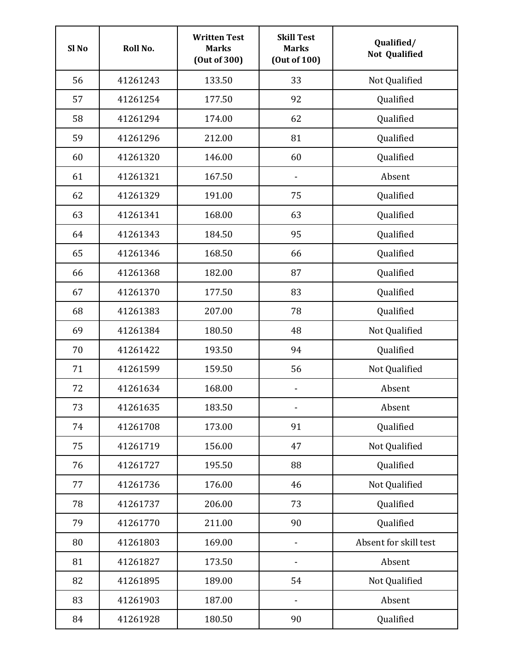| Sl <sub>No</sub> | Roll No. | <b>Written Test</b><br><b>Marks</b><br>(Out of 300) | <b>Skill Test</b><br><b>Marks</b><br>(Out of 100) | Qualified/<br><b>Not Qualified</b> |
|------------------|----------|-----------------------------------------------------|---------------------------------------------------|------------------------------------|
| 56               | 41261243 | 133.50                                              | 33                                                | Not Qualified                      |
| 57               | 41261254 | 177.50                                              | 92                                                | Qualified                          |
| 58               | 41261294 | 174.00                                              | 62                                                | Qualified                          |
| 59               | 41261296 | 212.00                                              | 81                                                | Qualified                          |
| 60               | 41261320 | 146.00                                              | 60                                                | Qualified                          |
| 61               | 41261321 | 167.50                                              | $\qquad \qquad \blacksquare$                      | Absent                             |
| 62               | 41261329 | 191.00                                              | 75                                                | Qualified                          |
| 63               | 41261341 | 168.00                                              | 63                                                | Qualified                          |
| 64               | 41261343 | 184.50                                              | 95                                                | Qualified                          |
| 65               | 41261346 | 168.50                                              | 66                                                | Qualified                          |
| 66               | 41261368 | 182.00                                              | 87                                                | Qualified                          |
| 67               | 41261370 | 177.50                                              | 83                                                | Qualified                          |
| 68               | 41261383 | 207.00                                              | 78                                                | Qualified                          |
| 69               | 41261384 | 180.50                                              | 48                                                | Not Qualified                      |
| 70               | 41261422 | 193.50                                              | 94                                                | Qualified                          |
| 71               | 41261599 | 159.50                                              | 56                                                | Not Qualified                      |
| 72               | 41261634 | 168.00                                              | $\qquad \qquad \blacksquare$                      | Absent                             |
| 73               | 41261635 | 183.50                                              | $\qquad \qquad \blacksquare$                      | Absent                             |
| 74               | 41261708 | 173.00                                              | 91                                                | Qualified                          |
| 75               | 41261719 | 156.00                                              | 47                                                | Not Qualified                      |
| 76               | 41261727 | 195.50                                              | 88                                                | Qualified                          |
| 77               | 41261736 | 176.00                                              | 46                                                | Not Qualified                      |
| 78               | 41261737 | 206.00                                              | 73                                                | Qualified                          |
| 79               | 41261770 | 211.00                                              | 90                                                | Qualified                          |
| 80               | 41261803 | 169.00                                              | $\qquad \qquad \blacksquare$                      | Absent for skill test              |
| 81               | 41261827 | 173.50                                              |                                                   | Absent                             |
| 82               | 41261895 | 189.00                                              | 54                                                | Not Qualified                      |
| 83               | 41261903 | 187.00                                              |                                                   | Absent                             |
| 84               | 41261928 | 180.50                                              | 90                                                | Qualified                          |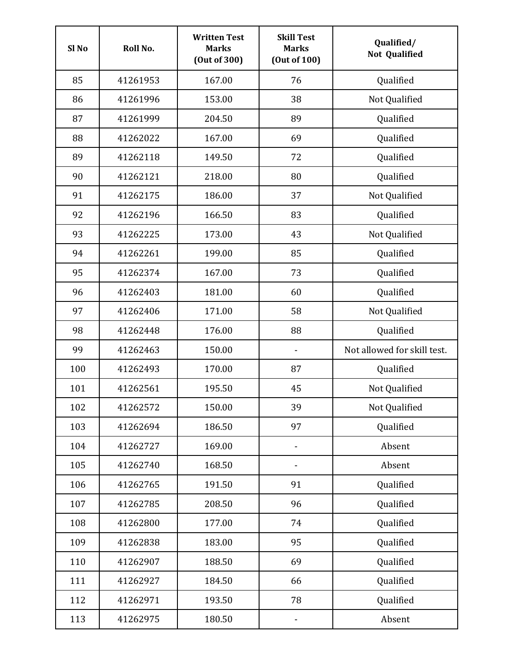| Sl <sub>No</sub> | Roll No. | <b>Written Test</b><br><b>Marks</b><br>(Out of 300) | <b>Skill Test</b><br><b>Marks</b><br>(Out of 100) | Qualified/<br><b>Not Qualified</b> |
|------------------|----------|-----------------------------------------------------|---------------------------------------------------|------------------------------------|
| 85               | 41261953 | 167.00                                              | 76                                                | Qualified                          |
| 86               | 41261996 | 153.00                                              | 38                                                | Not Qualified                      |
| 87               | 41261999 | 204.50                                              | 89                                                | Qualified                          |
| 88               | 41262022 | 167.00                                              | 69                                                | Qualified                          |
| 89               | 41262118 | 149.50                                              | 72                                                | Qualified                          |
| 90               | 41262121 | 218.00                                              | 80                                                | Qualified                          |
| 91               | 41262175 | 186.00                                              | 37                                                | Not Qualified                      |
| 92               | 41262196 | 166.50                                              | 83                                                | Qualified                          |
| 93               | 41262225 | 173.00                                              | 43                                                | Not Qualified                      |
| 94               | 41262261 | 199.00                                              | 85                                                | Qualified                          |
| 95               | 41262374 | 167.00                                              | 73                                                | Qualified                          |
| 96               | 41262403 | 181.00                                              | 60                                                | Qualified                          |
| 97               | 41262406 | 171.00                                              | 58                                                | Not Qualified                      |
| 98               | 41262448 | 176.00                                              | 88                                                | Qualified                          |
| 99               | 41262463 | 150.00                                              | $\qquad \qquad \blacksquare$                      | Not allowed for skill test.        |
| 100              | 41262493 | 170.00                                              | 87                                                | Qualified                          |
| 101              | 41262561 | 195.50                                              | 45                                                | Not Qualified                      |
| 102              | 41262572 | 150.00                                              | 39                                                | Not Qualified                      |
| 103              | 41262694 | 186.50                                              | 97                                                | Qualified                          |
| 104              | 41262727 | 169.00                                              | -                                                 | Absent                             |
| 105              | 41262740 | 168.50                                              |                                                   | Absent                             |
| 106              | 41262765 | 191.50                                              | 91                                                | Qualified                          |
| 107              | 41262785 | 208.50                                              | 96                                                | Qualified                          |
| 108              | 41262800 | 177.00                                              | 74                                                | Qualified                          |
| 109              | 41262838 | 183.00                                              | 95                                                | Qualified                          |
| 110              | 41262907 | 188.50                                              | 69                                                | Qualified                          |
| 111              | 41262927 | 184.50                                              | 66                                                | Qualified                          |
| 112              | 41262971 | 193.50                                              | 78                                                | Qualified                          |
| 113              | 41262975 | 180.50                                              |                                                   | Absent                             |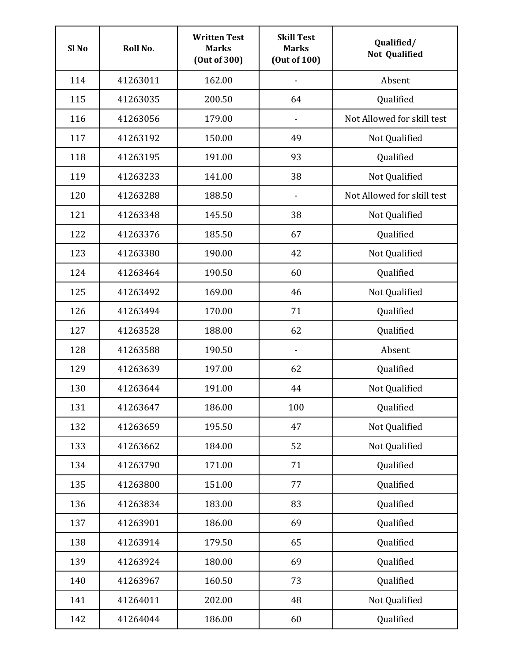| Sl <sub>No</sub> | Roll No. | <b>Written Test</b><br><b>Marks</b><br>(Out of 300) | <b>Skill Test</b><br><b>Marks</b><br>(Out of 100) | Qualified/<br><b>Not Qualified</b> |
|------------------|----------|-----------------------------------------------------|---------------------------------------------------|------------------------------------|
| 114              | 41263011 | 162.00                                              |                                                   | Absent                             |
| 115              | 41263035 | 200.50                                              | 64                                                | Qualified                          |
| 116              | 41263056 | 179.00                                              |                                                   | Not Allowed for skill test         |
| 117              | 41263192 | 150.00                                              | 49                                                | Not Qualified                      |
| 118              | 41263195 | 191.00                                              | 93                                                | Qualified                          |
| 119              | 41263233 | 141.00                                              | 38                                                | Not Qualified                      |
| 120              | 41263288 | 188.50                                              |                                                   | Not Allowed for skill test         |
| 121              | 41263348 | 145.50                                              | 38                                                | Not Qualified                      |
| 122              | 41263376 | 185.50                                              | 67                                                | Qualified                          |
| 123              | 41263380 | 190.00                                              | 42                                                | Not Qualified                      |
| 124              | 41263464 | 190.50                                              | 60                                                | Qualified                          |
| 125              | 41263492 | 169.00                                              | 46                                                | Not Qualified                      |
| 126              | 41263494 | 170.00                                              | 71                                                | Qualified                          |
| 127              | 41263528 | 188.00                                              | 62                                                | Qualified                          |
| 128              | 41263588 | 190.50                                              | $\qquad \qquad \blacksquare$                      | Absent                             |
| 129              | 41263639 | 197.00                                              | 62                                                | Qualified                          |
| 130              | 41263644 | 191.00                                              | 44                                                | Not Qualified                      |
| 131              | 41263647 | 186.00                                              | 100                                               | Qualified                          |
| 132              | 41263659 | 195.50                                              | 47                                                | Not Qualified                      |
| 133              | 41263662 | 184.00                                              | 52                                                | Not Qualified                      |
| 134              | 41263790 | 171.00                                              | 71                                                | Qualified                          |
| 135              | 41263800 | 151.00                                              | 77                                                | Qualified                          |
| 136              | 41263834 | 183.00                                              | 83                                                | Qualified                          |
| 137              | 41263901 | 186.00                                              | 69                                                | Qualified                          |
| 138              | 41263914 | 179.50                                              | 65                                                | Qualified                          |
| 139              | 41263924 | 180.00                                              | 69                                                | Qualified                          |
| 140              | 41263967 | 160.50                                              | 73                                                | Qualified                          |
| 141              | 41264011 | 202.00                                              | 48                                                | Not Qualified                      |
| 142              | 41264044 | 186.00                                              | 60                                                | Qualified                          |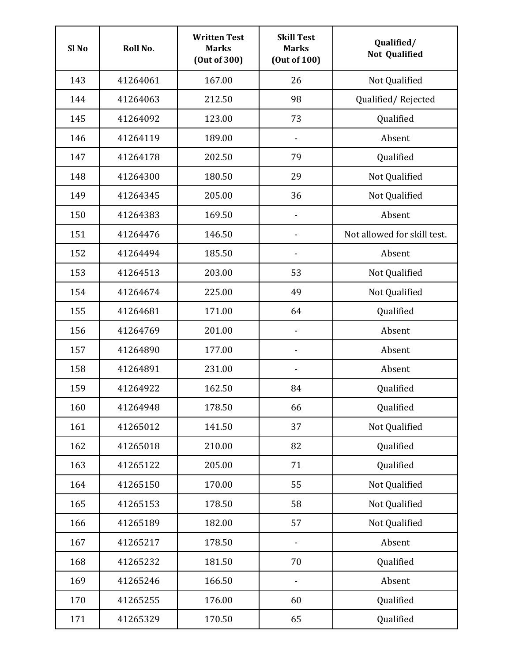| Sl <sub>No</sub> | Roll No. | <b>Written Test</b><br><b>Marks</b><br>(Out of 300) | <b>Skill Test</b><br><b>Marks</b><br>(Out of 100) | Qualified/<br><b>Not Qualified</b> |
|------------------|----------|-----------------------------------------------------|---------------------------------------------------|------------------------------------|
| 143              | 41264061 | 167.00                                              | 26                                                | Not Qualified                      |
| 144              | 41264063 | 212.50                                              | 98                                                | Qualified/Rejected                 |
| 145              | 41264092 | 123.00                                              | 73                                                | Qualified                          |
| 146              | 41264119 | 189.00                                              | $\qquad \qquad \blacksquare$                      | Absent                             |
| 147              | 41264178 | 202.50                                              | 79                                                | Qualified                          |
| 148              | 41264300 | 180.50                                              | 29                                                | Not Qualified                      |
| 149              | 41264345 | 205.00                                              | 36                                                | Not Qualified                      |
| 150              | 41264383 | 169.50                                              |                                                   | Absent                             |
| 151              | 41264476 | 146.50                                              |                                                   | Not allowed for skill test.        |
| 152              | 41264494 | 185.50                                              |                                                   | Absent                             |
| 153              | 41264513 | 203.00                                              | 53                                                | Not Qualified                      |
| 154              | 41264674 | 225.00                                              | 49                                                | Not Qualified                      |
| 155              | 41264681 | 171.00                                              | 64                                                | Qualified                          |
| 156              | 41264769 | 201.00                                              |                                                   | Absent                             |
| 157              | 41264890 | 177.00                                              |                                                   | Absent                             |
| 158              | 41264891 | 231.00                                              | $\qquad \qquad \blacksquare$                      | Absent                             |
| 159              | 41264922 | 162.50                                              | 84                                                | Qualified                          |
| 160              | 41264948 | 178.50                                              | 66                                                | Qualified                          |
| 161              | 41265012 | 141.50                                              | 37                                                | Not Qualified                      |
| 162              | 41265018 | 210.00                                              | 82                                                | Qualified                          |
| 163              | 41265122 | 205.00                                              | 71                                                | Qualified                          |
| 164              | 41265150 | 170.00                                              | 55                                                | Not Qualified                      |
| 165              | 41265153 | 178.50                                              | 58                                                | Not Qualified                      |
| 166              | 41265189 | 182.00                                              | 57                                                | Not Qualified                      |
| 167              | 41265217 | 178.50                                              |                                                   | Absent                             |
| 168              | 41265232 | 181.50                                              | 70                                                | Qualified                          |
| 169              | 41265246 | 166.50                                              |                                                   | Absent                             |
| 170              | 41265255 | 176.00                                              | 60                                                | Qualified                          |
| 171              | 41265329 | 170.50                                              | 65                                                | Qualified                          |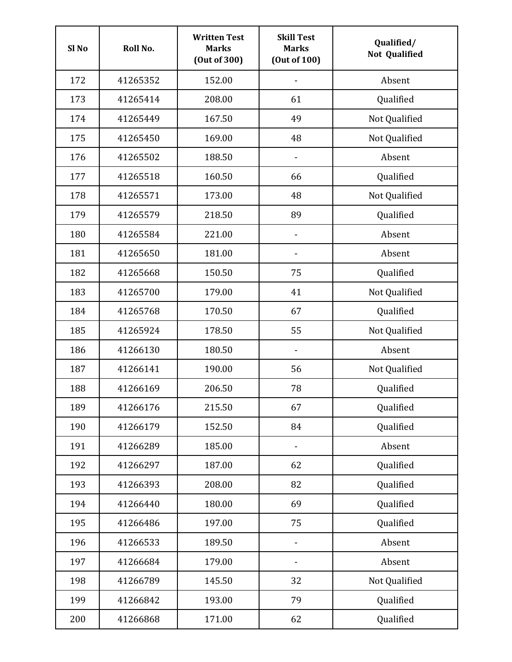| Sl <sub>No</sub> | Roll No. | <b>Written Test</b><br><b>Marks</b><br>(Out of 300) | <b>Skill Test</b><br><b>Marks</b><br>(Out of 100) | Qualified/<br><b>Not Qualified</b> |
|------------------|----------|-----------------------------------------------------|---------------------------------------------------|------------------------------------|
| 172              | 41265352 | 152.00                                              |                                                   | Absent                             |
| 173              | 41265414 | 208.00                                              | 61                                                | Qualified                          |
| 174              | 41265449 | 167.50                                              | 49                                                | Not Qualified                      |
| 175              | 41265450 | 169.00                                              | 48                                                | Not Qualified                      |
| 176              | 41265502 | 188.50                                              | $\qquad \qquad \blacksquare$                      | Absent                             |
| 177              | 41265518 | 160.50                                              | 66                                                | Qualified                          |
| 178              | 41265571 | 173.00                                              | 48                                                | Not Qualified                      |
| 179              | 41265579 | 218.50                                              | 89                                                | Qualified                          |
| 180              | 41265584 | 221.00                                              |                                                   | Absent                             |
| 181              | 41265650 | 181.00                                              |                                                   | Absent                             |
| 182              | 41265668 | 150.50                                              | 75                                                | Qualified                          |
| 183              | 41265700 | 179.00                                              | 41                                                | Not Qualified                      |
| 184              | 41265768 | 170.50                                              | 67                                                | Qualified                          |
| 185              | 41265924 | 178.50                                              | 55                                                | Not Qualified                      |
| 186              | 41266130 | 180.50                                              | $\qquad \qquad \blacksquare$                      | Absent                             |
| 187              | 41266141 | 190.00                                              | 56                                                | Not Qualified                      |
| 188              | 41266169 | 206.50                                              | 78                                                | Qualified                          |
| 189              | 41266176 | 215.50                                              | 67                                                | Qualified                          |
| 190              | 41266179 | 152.50                                              | 84                                                | Qualified                          |
| 191              | 41266289 | 185.00                                              | $\qquad \qquad \blacksquare$                      | Absent                             |
| 192              | 41266297 | 187.00                                              | 62                                                | Qualified                          |
| 193              | 41266393 | 208.00                                              | 82                                                | Qualified                          |
| 194              | 41266440 | 180.00                                              | 69                                                | Qualified                          |
| 195              | 41266486 | 197.00                                              | 75                                                | Qualified                          |
| 196              | 41266533 | 189.50                                              | $\qquad \qquad \blacksquare$                      | Absent                             |
| 197              | 41266684 | 179.00                                              |                                                   | Absent                             |
| 198              | 41266789 | 145.50                                              | 32                                                | Not Qualified                      |
| 199              | 41266842 | 193.00                                              | 79                                                | Qualified                          |
| 200              | 41266868 | 171.00                                              | 62                                                | Qualified                          |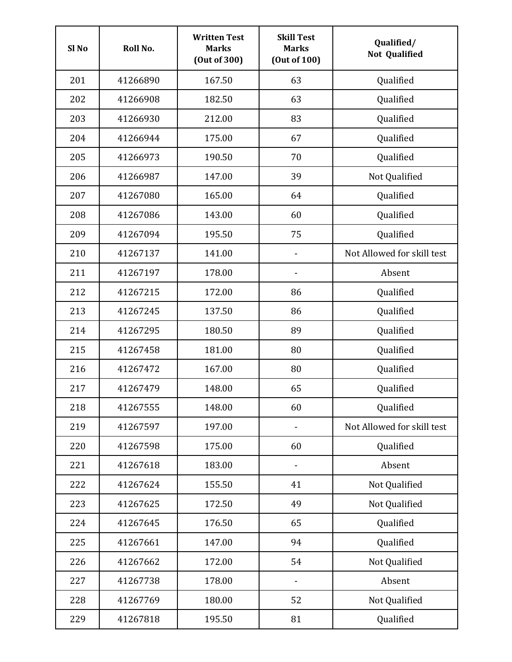| Sl <sub>No</sub> | Roll No. | <b>Written Test</b><br><b>Marks</b><br>(Out of 300) | <b>Skill Test</b><br><b>Marks</b><br>(Out of 100) | Qualified/<br><b>Not Qualified</b> |
|------------------|----------|-----------------------------------------------------|---------------------------------------------------|------------------------------------|
| 201              | 41266890 | 167.50                                              | 63                                                | Qualified                          |
| 202              | 41266908 | 182.50                                              | 63                                                | Qualified                          |
| 203              | 41266930 | 212.00                                              | 83                                                | Qualified                          |
| 204              | 41266944 | 175.00                                              | 67                                                | Qualified                          |
| 205              | 41266973 | 190.50                                              | 70                                                | Qualified                          |
| 206              | 41266987 | 147.00                                              | 39                                                | Not Qualified                      |
| 207              | 41267080 | 165.00                                              | 64                                                | Qualified                          |
| 208              | 41267086 | 143.00                                              | 60                                                | Qualified                          |
| 209              | 41267094 | 195.50                                              | 75                                                | Qualified                          |
| 210              | 41267137 | 141.00                                              |                                                   | Not Allowed for skill test         |
| 211              | 41267197 | 178.00                                              |                                                   | Absent                             |
| 212              | 41267215 | 172.00                                              | 86                                                | Qualified                          |
| 213              | 41267245 | 137.50                                              | 86                                                | Qualified                          |
| 214              | 41267295 | 180.50                                              | 89                                                | Qualified                          |
| 215              | 41267458 | 181.00                                              | 80                                                | Qualified                          |
| 216              | 41267472 | 167.00                                              | 80                                                | Qualified                          |
| 217              | 41267479 | 148.00                                              | 65                                                | Qualified                          |
| 218              | 41267555 | 148.00                                              | 60                                                | Qualified                          |
| 219              | 41267597 | 197.00                                              |                                                   | Not Allowed for skill test         |
| 220              | 41267598 | 175.00                                              | 60                                                | Qualified                          |
| 221              | 41267618 | 183.00                                              |                                                   | Absent                             |
| 222              | 41267624 | 155.50                                              | 41                                                | Not Qualified                      |
| 223              | 41267625 | 172.50                                              | 49                                                | Not Qualified                      |
| 224              | 41267645 | 176.50                                              | 65                                                | Qualified                          |
| 225              | 41267661 | 147.00                                              | 94                                                | Qualified                          |
| 226              | 41267662 | 172.00                                              | 54                                                | Not Qualified                      |
| 227              | 41267738 | 178.00                                              |                                                   | Absent                             |
| 228              | 41267769 | 180.00                                              | 52                                                | Not Qualified                      |
| 229              | 41267818 | 195.50                                              | 81                                                | Qualified                          |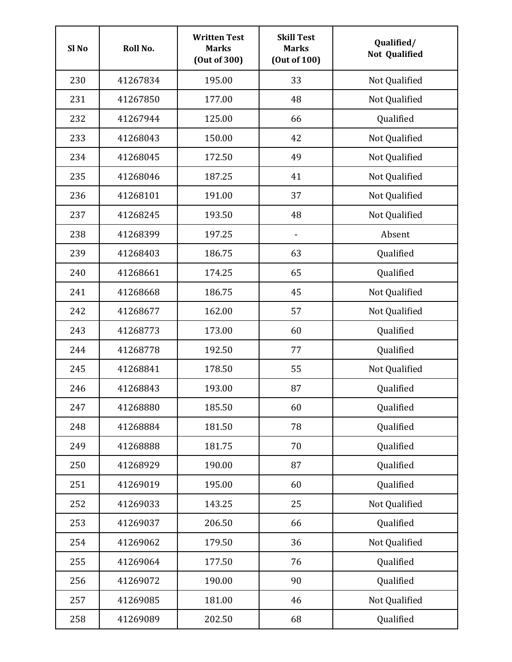| Sl <sub>No</sub> | Roll No. | <b>Written Test</b><br><b>Marks</b><br>(Out of 300) | <b>Skill Test</b><br><b>Marks</b><br>(Out of 100) | Qualified/<br><b>Not Qualified</b> |
|------------------|----------|-----------------------------------------------------|---------------------------------------------------|------------------------------------|
| 230              | 41267834 | 195.00                                              | 33                                                | Not Qualified                      |
| 231              | 41267850 | 177.00                                              | 48                                                | Not Qualified                      |
| 232              | 41267944 | 125.00                                              | 66                                                | Qualified                          |
| 233              | 41268043 | 150.00                                              | 42                                                | Not Qualified                      |
| 234              | 41268045 | 172.50                                              | 49                                                | Not Qualified                      |
| 235              | 41268046 | 187.25                                              | 41                                                | Not Qualified                      |
| 236              | 41268101 | 191.00                                              | 37                                                | Not Qualified                      |
| 237              | 41268245 | 193.50                                              | 48                                                | Not Qualified                      |
| 238              | 41268399 | 197.25                                              |                                                   | Absent                             |
| 239              | 41268403 | 186.75                                              | 63                                                | Qualified                          |
| 240              | 41268661 | 174.25                                              | 65                                                | Qualified                          |
| 241              | 41268668 | 186.75                                              | 45                                                | Not Qualified                      |
| 242              | 41268677 | 162.00                                              | 57                                                | Not Qualified                      |
| 243              | 41268773 | 173.00                                              | 60                                                | Qualified                          |
| 244              | 41268778 | 192.50                                              | 77                                                | Qualified                          |
| 245              | 41268841 | 178.50                                              | 55                                                | Not Qualified                      |
| 246              | 41268843 | 193.00                                              | 87                                                | Qualified                          |
| 247              | 41268880 | 185.50                                              | 60                                                | Qualified                          |
| 248              | 41268884 | 181.50                                              | 78                                                | Qualified                          |
| 249              | 41268888 | 181.75                                              | 70                                                | Qualified                          |
| 250              | 41268929 | 190.00                                              | 87                                                | Qualified                          |
| 251              | 41269019 | 195.00                                              | 60                                                | Qualified                          |
| 252              | 41269033 | 143.25                                              | 25                                                | Not Qualified                      |
| 253              | 41269037 | 206.50                                              | 66                                                | Qualified                          |
| 254              | 41269062 | 179.50                                              | 36                                                | Not Qualified                      |
| 255              | 41269064 | 177.50                                              | 76                                                | Qualified                          |
| 256              | 41269072 | 190.00                                              | 90                                                | Qualified                          |
| 257              | 41269085 | 181.00                                              | 46                                                | Not Qualified                      |
| 258              | 41269089 | 202.50                                              | 68                                                | Qualified                          |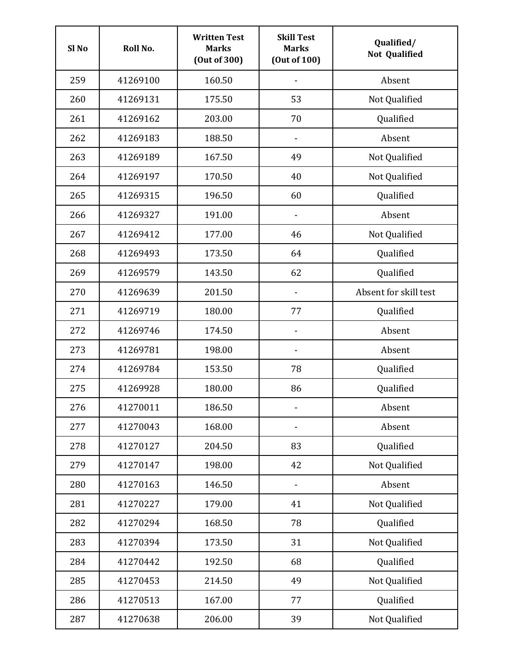| Sl <sub>No</sub> | Roll No. | <b>Written Test</b><br><b>Marks</b><br>(Out of 300) | <b>Skill Test</b><br><b>Marks</b><br>(Out of 100) | Qualified/<br><b>Not Qualified</b> |
|------------------|----------|-----------------------------------------------------|---------------------------------------------------|------------------------------------|
| 259              | 41269100 | 160.50                                              |                                                   | Absent                             |
| 260              | 41269131 | 175.50                                              | 53                                                | Not Qualified                      |
| 261              | 41269162 | 203.00                                              | 70                                                | Qualified                          |
| 262              | 41269183 | 188.50                                              | $\qquad \qquad \blacksquare$                      | Absent                             |
| 263              | 41269189 | 167.50                                              | 49                                                | Not Qualified                      |
| 264              | 41269197 | 170.50                                              | 40                                                | Not Qualified                      |
| 265              | 41269315 | 196.50                                              | 60                                                | Qualified                          |
| 266              | 41269327 | 191.00                                              |                                                   | Absent                             |
| 267              | 41269412 | 177.00                                              | 46                                                | Not Qualified                      |
| 268              | 41269493 | 173.50                                              | 64                                                | Qualified                          |
| 269              | 41269579 | 143.50                                              | 62                                                | Qualified                          |
| 270              | 41269639 | 201.50                                              |                                                   | Absent for skill test              |
| 271              | 41269719 | 180.00                                              | 77                                                | Qualified                          |
| 272              | 41269746 | 174.50                                              |                                                   | Absent                             |
| 273              | 41269781 | 198.00                                              | -                                                 | Absent                             |
| 274              | 41269784 | 153.50                                              | 78                                                | Qualified                          |
| 275              | 41269928 | 180.00                                              | 86                                                | Qualified                          |
| 276              | 41270011 | 186.50                                              |                                                   | Absent                             |
| 277              | 41270043 | 168.00                                              |                                                   | Absent                             |
| 278              | 41270127 | 204.50                                              | 83                                                | Qualified                          |
| 279              | 41270147 | 198.00                                              | 42                                                | Not Qualified                      |
| 280              | 41270163 | 146.50                                              | $\qquad \qquad \blacksquare$                      | Absent                             |
| 281              | 41270227 | 179.00                                              | 41                                                | Not Qualified                      |
| 282              | 41270294 | 168.50                                              | 78                                                | Qualified                          |
| 283              | 41270394 | 173.50                                              | 31                                                | Not Qualified                      |
| 284              | 41270442 | 192.50                                              | 68                                                | Qualified                          |
| 285              | 41270453 | 214.50                                              | 49                                                | Not Qualified                      |
| 286              | 41270513 | 167.00                                              | 77                                                | Qualified                          |
| 287              | 41270638 | 206.00                                              | 39                                                | Not Qualified                      |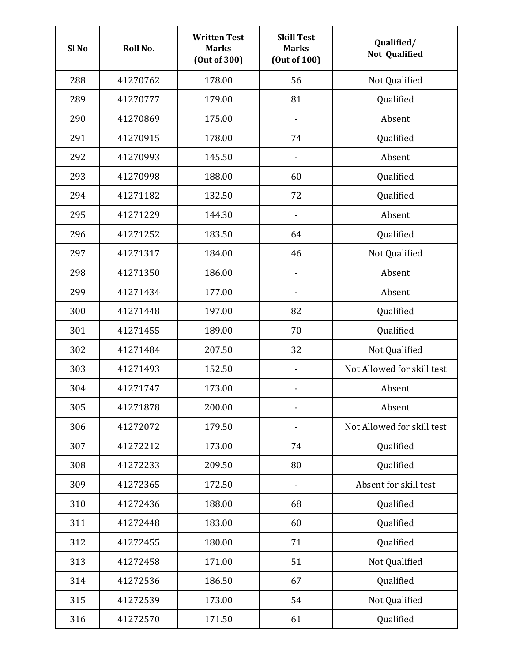| Sl <sub>No</sub> | Roll No. | <b>Written Test</b><br><b>Marks</b><br>(Out of 300) | <b>Skill Test</b><br><b>Marks</b><br>(Out of 100) | Qualified/<br><b>Not Qualified</b> |
|------------------|----------|-----------------------------------------------------|---------------------------------------------------|------------------------------------|
| 288              | 41270762 | 178.00                                              | 56                                                | Not Qualified                      |
| 289              | 41270777 | 179.00                                              | 81                                                | Qualified                          |
| 290              | 41270869 | 175.00                                              |                                                   | Absent                             |
| 291              | 41270915 | 178.00                                              | 74                                                | Qualified                          |
| 292              | 41270993 | 145.50                                              | $\qquad \qquad \blacksquare$                      | Absent                             |
| 293              | 41270998 | 188.00                                              | 60                                                | Qualified                          |
| 294              | 41271182 | 132.50                                              | 72                                                | Qualified                          |
| 295              | 41271229 | 144.30                                              |                                                   | Absent                             |
| 296              | 41271252 | 183.50                                              | 64                                                | Qualified                          |
| 297              | 41271317 | 184.00                                              | 46                                                | Not Qualified                      |
| 298              | 41271350 | 186.00                                              |                                                   | Absent                             |
| 299              | 41271434 | 177.00                                              |                                                   | Absent                             |
| 300              | 41271448 | 197.00                                              | 82                                                | Qualified                          |
| 301              | 41271455 | 189.00                                              | 70                                                | Qualified                          |
| 302              | 41271484 | 207.50                                              | 32                                                | Not Qualified                      |
| 303              | 41271493 | 152.50                                              |                                                   | Not Allowed for skill test         |
| 304              | 41271747 | 173.00                                              |                                                   | Absent                             |
| 305              | 41271878 | 200.00                                              | -                                                 | Absent                             |
| 306              | 41272072 | 179.50                                              |                                                   | Not Allowed for skill test         |
| 307              | 41272212 | 173.00                                              | 74                                                | Qualified                          |
| 308              | 41272233 | 209.50                                              | 80                                                | Qualified                          |
| 309              | 41272365 | 172.50                                              | $\qquad \qquad \blacksquare$                      | Absent for skill test              |
| 310              | 41272436 | 188.00                                              | 68                                                | Qualified                          |
| 311              | 41272448 | 183.00                                              | 60                                                | Qualified                          |
| 312              | 41272455 | 180.00                                              | 71                                                | Qualified                          |
| 313              | 41272458 | 171.00                                              | 51                                                | Not Qualified                      |
| 314              | 41272536 | 186.50                                              | 67                                                | Qualified                          |
| 315              | 41272539 | 173.00                                              | 54                                                | Not Qualified                      |
| 316              | 41272570 | 171.50                                              | 61                                                | Qualified                          |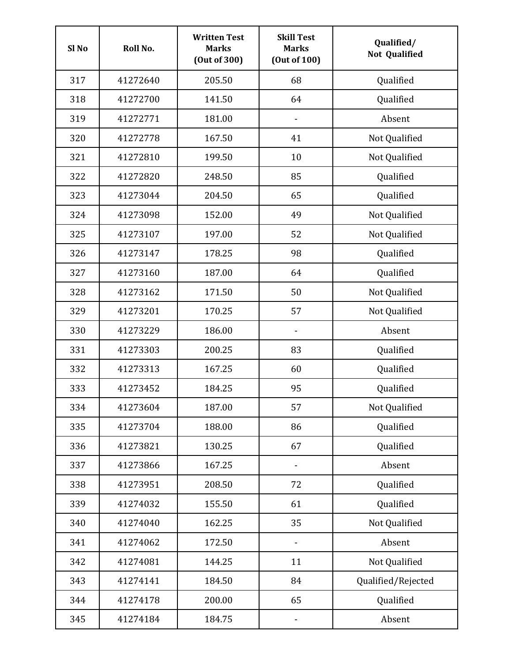| Sl <sub>No</sub> | Roll No. | <b>Written Test</b><br><b>Marks</b><br>(Out of 300) | <b>Skill Test</b><br><b>Marks</b><br>(Out of 100) | Qualified/<br><b>Not Qualified</b> |
|------------------|----------|-----------------------------------------------------|---------------------------------------------------|------------------------------------|
| 317              | 41272640 | 205.50                                              | 68                                                | Qualified                          |
| 318              | 41272700 | 141.50                                              | 64                                                | Qualified                          |
| 319              | 41272771 | 181.00                                              |                                                   | Absent                             |
| 320              | 41272778 | 167.50                                              | 41                                                | Not Qualified                      |
| 321              | 41272810 | 199.50                                              | 10                                                | Not Qualified                      |
| 322              | 41272820 | 248.50                                              | 85                                                | Qualified                          |
| 323              | 41273044 | 204.50                                              | 65                                                | Qualified                          |
| 324              | 41273098 | 152.00                                              | 49                                                | Not Qualified                      |
| 325              | 41273107 | 197.00                                              | 52                                                | Not Qualified                      |
| 326              | 41273147 | 178.25                                              | 98                                                | Qualified                          |
| 327              | 41273160 | 187.00                                              | 64                                                | Qualified                          |
| 328              | 41273162 | 171.50                                              | 50                                                | Not Qualified                      |
| 329              | 41273201 | 170.25                                              | 57                                                | Not Qualified                      |
| 330              | 41273229 | 186.00                                              |                                                   | Absent                             |
| 331              | 41273303 | 200.25                                              | 83                                                | Qualified                          |
| 332              | 41273313 | 167.25                                              | 60                                                | Qualified                          |
| 333              | 41273452 | 184.25                                              | 95                                                | Qualified                          |
| 334              | 41273604 | 187.00                                              | 57                                                | Not Qualified                      |
| 335              | 41273704 | 188.00                                              | 86                                                | Qualified                          |
| 336              | 41273821 | 130.25                                              | 67                                                | Qualified                          |
| 337              | 41273866 | 167.25                                              |                                                   | Absent                             |
| 338              | 41273951 | 208.50                                              | 72                                                | Qualified                          |
| 339              | 41274032 | 155.50                                              | 61                                                | Qualified                          |
| 340              | 41274040 | 162.25                                              | 35                                                | Not Qualified                      |
| 341              | 41274062 | 172.50                                              | $\qquad \qquad \blacksquare$                      | Absent                             |
| 342              | 41274081 | 144.25                                              | 11                                                | Not Qualified                      |
| 343              | 41274141 | 184.50                                              | 84                                                | Qualified/Rejected                 |
| 344              | 41274178 | 200.00                                              | 65                                                | Qualified                          |
| 345              | 41274184 | 184.75                                              |                                                   | Absent                             |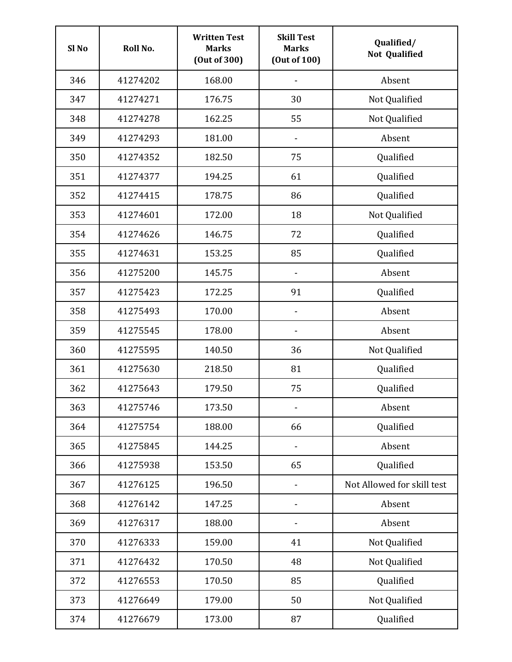| Sl <sub>No</sub> | Roll No. | <b>Written Test</b><br><b>Marks</b><br>(Out of 300) | <b>Skill Test</b><br><b>Marks</b><br>(Out of 100) | Qualified/<br><b>Not Qualified</b> |
|------------------|----------|-----------------------------------------------------|---------------------------------------------------|------------------------------------|
| 346              | 41274202 | 168.00                                              |                                                   | Absent                             |
| 347              | 41274271 | 176.75                                              | 30                                                | Not Qualified                      |
| 348              | 41274278 | 162.25                                              | 55                                                | Not Qualified                      |
| 349              | 41274293 | 181.00                                              | $\qquad \qquad \blacksquare$                      | Absent                             |
| 350              | 41274352 | 182.50                                              | 75                                                | Qualified                          |
| 351              | 41274377 | 194.25                                              | 61                                                | Qualified                          |
| 352              | 41274415 | 178.75                                              | 86                                                | Qualified                          |
| 353              | 41274601 | 172.00                                              | 18                                                | Not Qualified                      |
| 354              | 41274626 | 146.75                                              | 72                                                | Qualified                          |
| 355              | 41274631 | 153.25                                              | 85                                                | Qualified                          |
| 356              | 41275200 | 145.75                                              |                                                   | Absent                             |
| 357              | 41275423 | 172.25                                              | 91                                                | Qualified                          |
| 358              | 41275493 | 170.00                                              |                                                   | Absent                             |
| 359              | 41275545 | 178.00                                              |                                                   | Absent                             |
| 360              | 41275595 | 140.50                                              | 36                                                | Not Qualified                      |
| 361              | 41275630 | 218.50                                              | 81                                                | Qualified                          |
| 362              | 41275643 | 179.50                                              | 75                                                | Qualified                          |
| 363              | 41275746 | 173.50                                              | $\blacksquare$                                    | Absent                             |
| 364              | 41275754 | 188.00                                              | 66                                                | Qualified                          |
| 365              | 41275845 | 144.25                                              |                                                   | Absent                             |
| 366              | 41275938 | 153.50                                              | 65                                                | Qualified                          |
| 367              | 41276125 | 196.50                                              | $\overline{\phantom{a}}$                          | Not Allowed for skill test         |
| 368              | 41276142 | 147.25                                              | $\qquad \qquad \blacksquare$                      | Absent                             |
| 369              | 41276317 | 188.00                                              | $\qquad \qquad \blacksquare$                      | Absent                             |
| 370              | 41276333 | 159.00                                              | 41                                                | Not Qualified                      |
| 371              | 41276432 | 170.50                                              | 48                                                | Not Qualified                      |
| 372              | 41276553 | 170.50                                              | 85                                                | Qualified                          |
| 373              | 41276649 | 179.00                                              | 50                                                | Not Qualified                      |
| 374              | 41276679 | 173.00                                              | 87                                                | Qualified                          |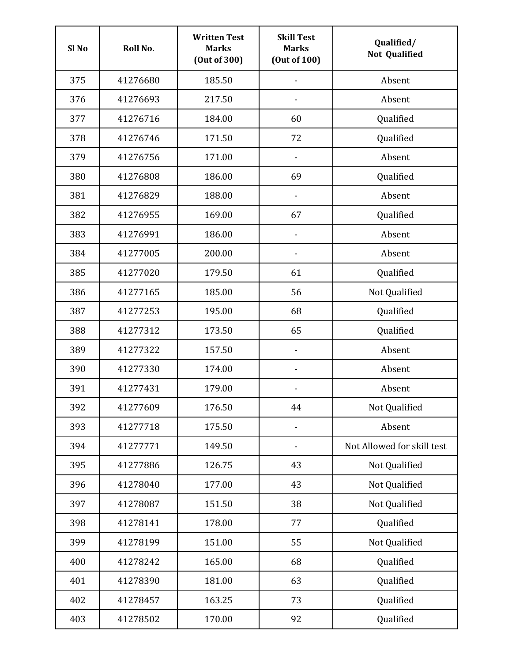| Sl <sub>No</sub> | Roll No. | <b>Written Test</b><br><b>Marks</b><br>(Out of 300) | <b>Skill Test</b><br><b>Marks</b><br>(Out of 100) | Qualified/<br><b>Not Qualified</b> |
|------------------|----------|-----------------------------------------------------|---------------------------------------------------|------------------------------------|
| 375              | 41276680 | 185.50                                              |                                                   | Absent                             |
| 376              | 41276693 | 217.50                                              |                                                   | Absent                             |
| 377              | 41276716 | 184.00                                              | 60                                                | Qualified                          |
| 378              | 41276746 | 171.50                                              | 72                                                | Qualified                          |
| 379              | 41276756 | 171.00                                              | $\qquad \qquad \blacksquare$                      | Absent                             |
| 380              | 41276808 | 186.00                                              | 69                                                | Qualified                          |
| 381              | 41276829 | 188.00                                              |                                                   | Absent                             |
| 382              | 41276955 | 169.00                                              | 67                                                | Qualified                          |
| 383              | 41276991 | 186.00                                              |                                                   | Absent                             |
| 384              | 41277005 | 200.00                                              |                                                   | Absent                             |
| 385              | 41277020 | 179.50                                              | 61                                                | Qualified                          |
| 386              | 41277165 | 185.00                                              | 56                                                | Not Qualified                      |
| 387              | 41277253 | 195.00                                              | 68                                                | Qualified                          |
| 388              | 41277312 | 173.50                                              | 65                                                | Qualified                          |
| 389              | 41277322 | 157.50                                              | -                                                 | Absent                             |
| 390              | 41277330 | 174.00                                              |                                                   | Absent                             |
| 391              | 41277431 | 179.00                                              |                                                   | Absent                             |
| 392              | 41277609 | 176.50                                              | 44                                                | Not Qualified                      |
| 393              | 41277718 | 175.50                                              |                                                   | Absent                             |
| 394              | 41277771 | 149.50                                              |                                                   | Not Allowed for skill test         |
| 395              | 41277886 | 126.75                                              | 43                                                | Not Qualified                      |
| 396              | 41278040 | 177.00                                              | 43                                                | Not Qualified                      |
| 397              | 41278087 | 151.50                                              | 38                                                | Not Qualified                      |
| 398              | 41278141 | 178.00                                              | 77                                                | Qualified                          |
| 399              | 41278199 | 151.00                                              | 55                                                | Not Qualified                      |
| 400              | 41278242 | 165.00                                              | 68                                                | Qualified                          |
| 401              | 41278390 | 181.00                                              | 63                                                | Qualified                          |
| 402              | 41278457 | 163.25                                              | 73                                                | Qualified                          |
| 403              | 41278502 | 170.00                                              | 92                                                | Qualified                          |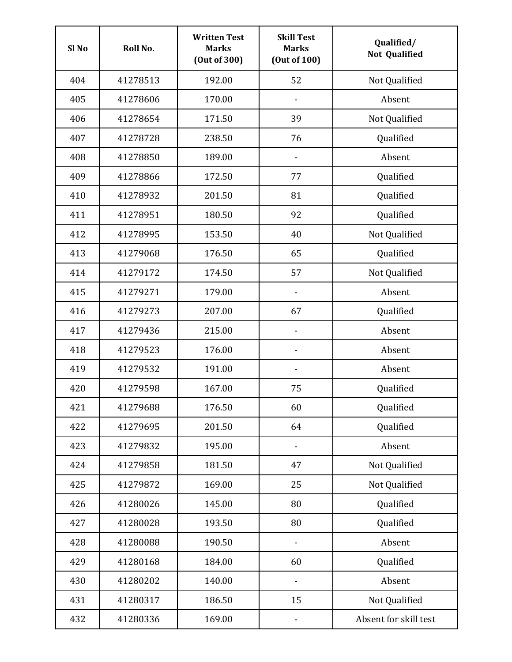| Sl <sub>No</sub> | Roll No. | <b>Written Test</b><br><b>Marks</b><br>(Out of 300) | <b>Skill Test</b><br><b>Marks</b><br>(Out of 100) | Qualified/<br><b>Not Qualified</b> |
|------------------|----------|-----------------------------------------------------|---------------------------------------------------|------------------------------------|
| 404              | 41278513 | 192.00                                              | 52                                                | Not Qualified                      |
| 405              | 41278606 | 170.00                                              |                                                   | Absent                             |
| 406              | 41278654 | 171.50                                              | 39                                                | Not Qualified                      |
| 407              | 41278728 | 238.50                                              | 76                                                | Qualified                          |
| 408              | 41278850 | 189.00                                              | $\qquad \qquad \blacksquare$                      | Absent                             |
| 409              | 41278866 | 172.50                                              | 77                                                | Qualified                          |
| 410              | 41278932 | 201.50                                              | 81                                                | Qualified                          |
| 411              | 41278951 | 180.50                                              | 92                                                | Qualified                          |
| 412              | 41278995 | 153.50                                              | 40                                                | Not Qualified                      |
| 413              | 41279068 | 176.50                                              | 65                                                | Qualified                          |
| 414              | 41279172 | 174.50                                              | 57                                                | Not Qualified                      |
| 415              | 41279271 | 179.00                                              |                                                   | Absent                             |
| 416              | 41279273 | 207.00                                              | 67                                                | Qualified                          |
| 417              | 41279436 | 215.00                                              |                                                   | Absent                             |
| 418              | 41279523 | 176.00                                              | -                                                 | Absent                             |
| 419              | 41279532 | 191.00                                              |                                                   | Absent                             |
| 420              | 41279598 | 167.00                                              | 75                                                | Qualified                          |
| 421              | 41279688 | 176.50                                              | 60                                                | Qualified                          |
| 422              | 41279695 | 201.50                                              | 64                                                | Qualified                          |
| 423              | 41279832 | 195.00                                              | -                                                 | Absent                             |
| 424              | 41279858 | 181.50                                              | 47                                                | Not Qualified                      |
| 425              | 41279872 | 169.00                                              | 25                                                | Not Qualified                      |
| 426              | 41280026 | 145.00                                              | 80                                                | Qualified                          |
| 427              | 41280028 | 193.50                                              | 80                                                | Qualified                          |
| 428              | 41280088 | 190.50                                              | $\qquad \qquad \blacksquare$                      | Absent                             |
| 429              | 41280168 | 184.00                                              | 60                                                | Qualified                          |
| 430              | 41280202 | 140.00                                              |                                                   | Absent                             |
| 431              | 41280317 | 186.50                                              | 15                                                | Not Qualified                      |
| 432              | 41280336 | 169.00                                              |                                                   | Absent for skill test              |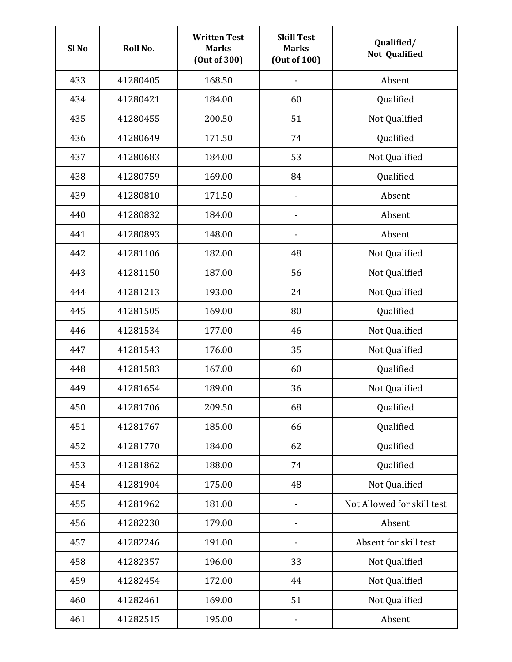| Sl <sub>No</sub> | Roll No. | <b>Written Test</b><br><b>Marks</b><br>(Out of 300) | <b>Skill Test</b><br><b>Marks</b><br>(Out of 100) | Qualified/<br><b>Not Qualified</b> |
|------------------|----------|-----------------------------------------------------|---------------------------------------------------|------------------------------------|
| 433              | 41280405 | 168.50                                              |                                                   | Absent                             |
| 434              | 41280421 | 184.00                                              | 60                                                | Qualified                          |
| 435              | 41280455 | 200.50                                              | 51                                                | Not Qualified                      |
| 436              | 41280649 | 171.50                                              | 74                                                | Qualified                          |
| 437              | 41280683 | 184.00                                              | 53                                                | Not Qualified                      |
| 438              | 41280759 | 169.00                                              | 84                                                | Qualified                          |
| 439              | 41280810 | 171.50                                              | $\qquad \qquad \blacksquare$                      | Absent                             |
| 440              | 41280832 | 184.00                                              |                                                   | Absent                             |
| 441              | 41280893 | 148.00                                              |                                                   | Absent                             |
| 442              | 41281106 | 182.00                                              | 48                                                | Not Qualified                      |
| 443              | 41281150 | 187.00                                              | 56                                                | Not Qualified                      |
| 444              | 41281213 | 193.00                                              | 24                                                | Not Qualified                      |
| 445              | 41281505 | 169.00                                              | 80                                                | Qualified                          |
| 446              | 41281534 | 177.00                                              | 46                                                | Not Qualified                      |
| 447              | 41281543 | 176.00                                              | 35                                                | Not Qualified                      |
| 448              | 41281583 | 167.00                                              | 60                                                | Qualified                          |
| 449              | 41281654 | 189.00                                              | 36                                                | Not Qualified                      |
| 450              | 41281706 | 209.50                                              | 68                                                | Qualified                          |
| 451              | 41281767 | 185.00                                              | 66                                                | Qualified                          |
| 452              | 41281770 | 184.00                                              | 62                                                | Qualified                          |
| 453              | 41281862 | 188.00                                              | 74                                                | Qualified                          |
| 454              | 41281904 | 175.00                                              | 48                                                | Not Qualified                      |
| 455              | 41281962 | 181.00                                              | $\qquad \qquad \blacksquare$                      | Not Allowed for skill test         |
| 456              | 41282230 | 179.00                                              | $\qquad \qquad \blacksquare$                      | Absent                             |
| 457              | 41282246 | 191.00                                              | -                                                 | Absent for skill test              |
| 458              | 41282357 | 196.00                                              | 33                                                | Not Qualified                      |
| 459              | 41282454 | 172.00                                              | 44                                                | Not Qualified                      |
| 460              | 41282461 | 169.00                                              | 51                                                | Not Qualified                      |
| 461              | 41282515 | 195.00                                              |                                                   | Absent                             |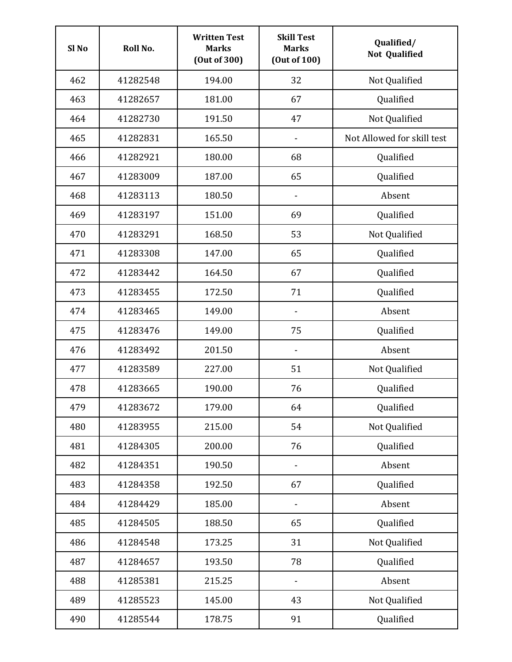| Sl <sub>No</sub> | Roll No. | <b>Written Test</b><br><b>Marks</b><br>(Out of 300) | <b>Skill Test</b><br><b>Marks</b><br>(Out of 100) | Qualified/<br><b>Not Qualified</b> |
|------------------|----------|-----------------------------------------------------|---------------------------------------------------|------------------------------------|
| 462              | 41282548 | 194.00                                              | 32                                                | Not Qualified                      |
| 463              | 41282657 | 181.00                                              | 67                                                | Qualified                          |
| 464              | 41282730 | 191.50                                              | 47                                                | Not Qualified                      |
| 465              | 41282831 | 165.50                                              | $\qquad \qquad \blacksquare$                      | Not Allowed for skill test         |
| 466              | 41282921 | 180.00                                              | 68                                                | Qualified                          |
| 467              | 41283009 | 187.00                                              | 65                                                | Qualified                          |
| 468              | 41283113 | 180.50                                              |                                                   | Absent                             |
| 469              | 41283197 | 151.00                                              | 69                                                | Qualified                          |
| 470              | 41283291 | 168.50                                              | 53                                                | Not Qualified                      |
| 471              | 41283308 | 147.00                                              | 65                                                | Qualified                          |
| 472              | 41283442 | 164.50                                              | 67                                                | Qualified                          |
| 473              | 41283455 | 172.50                                              | 71                                                | Qualified                          |
| 474              | 41283465 | 149.00                                              |                                                   | Absent                             |
| 475              | 41283476 | 149.00                                              | 75                                                | Qualified                          |
| 476              | 41283492 | 201.50                                              | $\qquad \qquad \blacksquare$                      | Absent                             |
| 477              | 41283589 | 227.00                                              | 51                                                | Not Qualified                      |
| 478              | 41283665 | 190.00                                              | 76                                                | Qualified                          |
| 479              | 41283672 | 179.00                                              | 64                                                | Qualified                          |
| 480              | 41283955 | 215.00                                              | 54                                                | Not Qualified                      |
| 481              | 41284305 | 200.00                                              | 76                                                | Qualified                          |
| 482              | 41284351 | 190.50                                              |                                                   | Absent                             |
| 483              | 41284358 | 192.50                                              | 67                                                | Qualified                          |
| 484              | 41284429 | 185.00                                              | $\overline{\phantom{0}}$                          | Absent                             |
| 485              | 41284505 | 188.50                                              | 65                                                | Qualified                          |
| 486              | 41284548 | 173.25                                              | 31                                                | Not Qualified                      |
| 487              | 41284657 | 193.50                                              | 78                                                | Qualified                          |
| 488              | 41285381 | 215.25                                              |                                                   | Absent                             |
| 489              | 41285523 | 145.00                                              | 43                                                | Not Qualified                      |
| 490              | 41285544 | 178.75                                              | 91                                                | Qualified                          |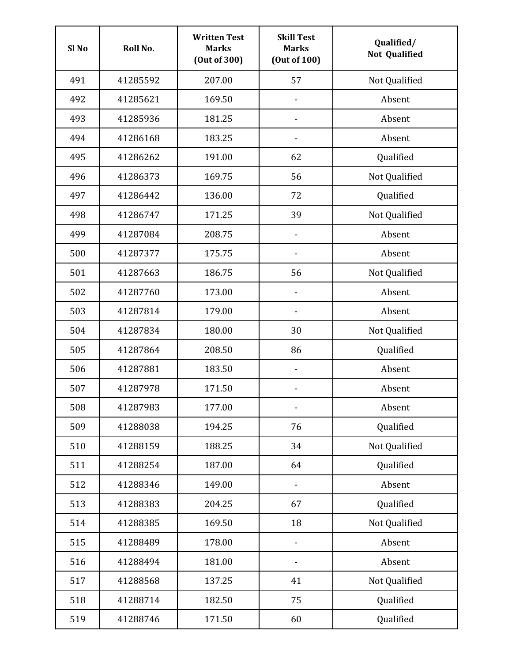| Sl <sub>No</sub> | Roll No. | <b>Written Test</b><br><b>Marks</b><br>(Out of 300) | <b>Skill Test</b><br><b>Marks</b><br>(Out of 100) | Qualified/<br><b>Not Qualified</b> |
|------------------|----------|-----------------------------------------------------|---------------------------------------------------|------------------------------------|
| 491              | 41285592 | 207.00                                              | 57                                                | Not Qualified                      |
| 492              | 41285621 | 169.50                                              |                                                   | Absent                             |
| 493              | 41285936 | 181.25                                              |                                                   | Absent                             |
| 494              | 41286168 | 183.25                                              |                                                   | Absent                             |
| 495              | 41286262 | 191.00                                              | 62                                                | Qualified                          |
| 496              | 41286373 | 169.75                                              | 56                                                | Not Qualified                      |
| 497              | 41286442 | 136.00                                              | 72                                                | Qualified                          |
| 498              | 41286747 | 171.25                                              | 39                                                | Not Qualified                      |
| 499              | 41287084 | 208.75                                              |                                                   | Absent                             |
| 500              | 41287377 | 175.75                                              |                                                   | Absent                             |
| 501              | 41287663 | 186.75                                              | 56                                                | Not Qualified                      |
| 502              | 41287760 | 173.00                                              |                                                   | Absent                             |
| 503              | 41287814 | 179.00                                              |                                                   | Absent                             |
| 504              | 41287834 | 180.00                                              | 30                                                | Not Qualified                      |
| 505              | 41287864 | 208.50                                              | 86                                                | Qualified                          |
| 506              | 41287881 | 183.50                                              | $\overline{\phantom{0}}$                          | Absent                             |
| 507              | 41287978 | 171.50                                              |                                                   | Absent                             |
| 508              | 41287983 | 177.00                                              | $\qquad \qquad \blacksquare$                      | Absent                             |
| 509              | 41288038 | 194.25                                              | 76                                                | Qualified                          |
| 510              | 41288159 | 188.25                                              | 34                                                | Not Qualified                      |
| 511              | 41288254 | 187.00                                              | 64                                                | Qualified                          |
| 512              | 41288346 | 149.00                                              | $\qquad \qquad \blacksquare$                      | Absent                             |
| 513              | 41288383 | 204.25                                              | 67                                                | Qualified                          |
| 514              | 41288385 | 169.50                                              | 18                                                | Not Qualified                      |
| 515              | 41288489 | 178.00                                              | $\qquad \qquad \blacksquare$                      | Absent                             |
| 516              | 41288494 | 181.00                                              |                                                   | Absent                             |
| 517              | 41288568 | 137.25                                              | 41                                                | Not Qualified                      |
| 518              | 41288714 | 182.50                                              | 75                                                | Qualified                          |
| 519              | 41288746 | 171.50                                              | 60                                                | Qualified                          |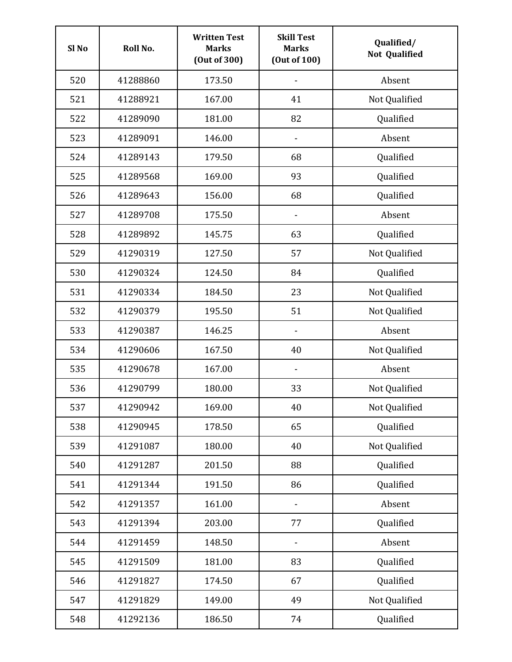| Sl <sub>No</sub> | Roll No. | <b>Written Test</b><br><b>Marks</b><br>(Out of 300) | <b>Skill Test</b><br><b>Marks</b><br>(Out of 100) | Qualified/<br><b>Not Qualified</b> |
|------------------|----------|-----------------------------------------------------|---------------------------------------------------|------------------------------------|
| 520              | 41288860 | 173.50                                              |                                                   | Absent                             |
| 521              | 41288921 | 167.00                                              | 41                                                | Not Qualified                      |
| 522              | 41289090 | 181.00                                              | 82                                                | Qualified                          |
| 523              | 41289091 | 146.00                                              | $\qquad \qquad \blacksquare$                      | Absent                             |
| 524              | 41289143 | 179.50                                              | 68                                                | Qualified                          |
| 525              | 41289568 | 169.00                                              | 93                                                | Qualified                          |
| 526              | 41289643 | 156.00                                              | 68                                                | Qualified                          |
| 527              | 41289708 | 175.50                                              |                                                   | Absent                             |
| 528              | 41289892 | 145.75                                              | 63                                                | Qualified                          |
| 529              | 41290319 | 127.50                                              | 57                                                | Not Qualified                      |
| 530              | 41290324 | 124.50                                              | 84                                                | Qualified                          |
| 531              | 41290334 | 184.50                                              | 23                                                | Not Qualified                      |
| 532              | 41290379 | 195.50                                              | 51                                                | Not Qualified                      |
| 533              | 41290387 | 146.25                                              |                                                   | Absent                             |
| 534              | 41290606 | 167.50                                              | 40                                                | Not Qualified                      |
| 535              | 41290678 | 167.00                                              | $\qquad \qquad \blacksquare$                      | Absent                             |
| 536              | 41290799 | 180.00                                              | 33                                                | Not Qualified                      |
| 537              | 41290942 | 169.00                                              | 40                                                | Not Qualified                      |
| 538              | 41290945 | 178.50                                              | 65                                                | Qualified                          |
| 539              | 41291087 | 180.00                                              | 40                                                | Not Qualified                      |
| 540              | 41291287 | 201.50                                              | 88                                                | Qualified                          |
| 541              | 41291344 | 191.50                                              | 86                                                | Qualified                          |
| 542              | 41291357 | 161.00                                              | $\qquad \qquad \blacksquare$                      | Absent                             |
| 543              | 41291394 | 203.00                                              | 77                                                | Qualified                          |
| 544              | 41291459 | 148.50                                              | $\qquad \qquad \blacksquare$                      | Absent                             |
| 545              | 41291509 | 181.00                                              | 83                                                | Qualified                          |
| 546              | 41291827 | 174.50                                              | 67                                                | Qualified                          |
| 547              | 41291829 | 149.00                                              | 49                                                | Not Qualified                      |
| 548              | 41292136 | 186.50                                              | 74                                                | Qualified                          |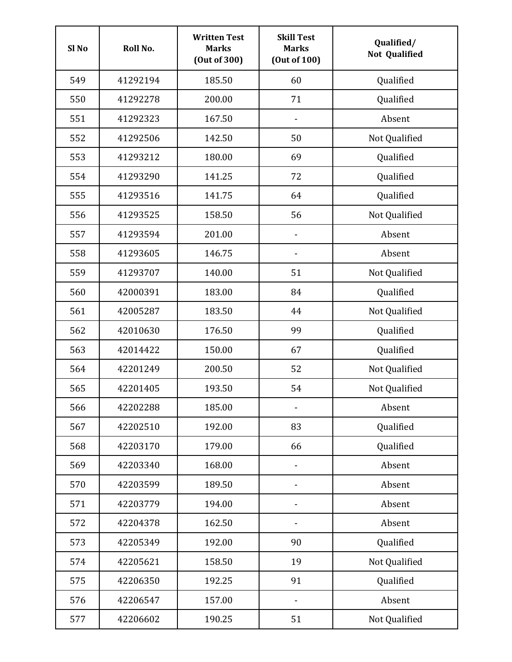| Sl <sub>No</sub> | Roll No. | <b>Written Test</b><br><b>Marks</b><br>(Out of 300) | <b>Skill Test</b><br><b>Marks</b><br>(Out of 100) | Qualified/<br><b>Not Qualified</b> |
|------------------|----------|-----------------------------------------------------|---------------------------------------------------|------------------------------------|
| 549              | 41292194 | 185.50                                              | 60                                                | Qualified                          |
| 550              | 41292278 | 200.00                                              | 71                                                | Qualified                          |
| 551              | 41292323 | 167.50                                              |                                                   | Absent                             |
| 552              | 41292506 | 142.50                                              | 50                                                | Not Qualified                      |
| 553              | 41293212 | 180.00                                              | 69                                                | Qualified                          |
| 554              | 41293290 | 141.25                                              | 72                                                | Qualified                          |
| 555              | 41293516 | 141.75                                              | 64                                                | Qualified                          |
| 556              | 41293525 | 158.50                                              | 56                                                | Not Qualified                      |
| 557              | 41293594 | 201.00                                              |                                                   | Absent                             |
| 558              | 41293605 | 146.75                                              |                                                   | Absent                             |
| 559              | 41293707 | 140.00                                              | 51                                                | Not Qualified                      |
| 560              | 42000391 | 183.00                                              | 84                                                | Qualified                          |
| 561              | 42005287 | 183.50                                              | 44                                                | Not Qualified                      |
| 562              | 42010630 | 176.50                                              | 99                                                | Qualified                          |
| 563              | 42014422 | 150.00                                              | 67                                                | Qualified                          |
| 564              | 42201249 | 200.50                                              | 52                                                | Not Qualified                      |
| 565              | 42201405 | 193.50                                              | 54                                                | Not Qualified                      |
| 566              | 42202288 | 185.00                                              | $\qquad \qquad \blacksquare$                      | Absent                             |
| 567              | 42202510 | 192.00                                              | 83                                                | Qualified                          |
| 568              | 42203170 | 179.00                                              | 66                                                | Qualified                          |
| 569              | 42203340 | 168.00                                              |                                                   | Absent                             |
| 570              | 42203599 | 189.50                                              | -                                                 | Absent                             |
| 571              | 42203779 | 194.00                                              | -                                                 | Absent                             |
| 572              | 42204378 | 162.50                                              | -                                                 | Absent                             |
| 573              | 42205349 | 192.00                                              | 90                                                | Qualified                          |
| 574              | 42205621 | 158.50                                              | 19                                                | Not Qualified                      |
| 575              | 42206350 | 192.25                                              | 91                                                | Qualified                          |
| 576              | 42206547 | 157.00                                              |                                                   | Absent                             |
| 577              | 42206602 | 190.25                                              | 51                                                | Not Qualified                      |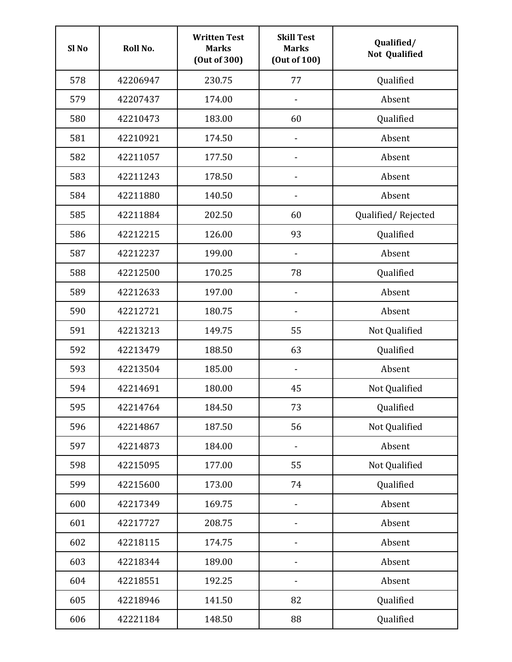| Sl <sub>No</sub> | Roll No. | <b>Written Test</b><br><b>Marks</b><br>(Out of 300) | <b>Skill Test</b><br><b>Marks</b><br>(Out of 100) | Qualified/<br><b>Not Qualified</b> |
|------------------|----------|-----------------------------------------------------|---------------------------------------------------|------------------------------------|
| 578              | 42206947 | 230.75                                              | 77                                                | Qualified                          |
| 579              | 42207437 | 174.00                                              |                                                   | Absent                             |
| 580              | 42210473 | 183.00                                              | 60                                                | Qualified                          |
| 581              | 42210921 | 174.50                                              | $\qquad \qquad \blacksquare$                      | Absent                             |
| 582              | 42211057 | 177.50                                              | $\qquad \qquad \blacksquare$                      | Absent                             |
| 583              | 42211243 | 178.50                                              | -                                                 | Absent                             |
| 584              | 42211880 | 140.50                                              |                                                   | Absent                             |
| 585              | 42211884 | 202.50                                              | 60                                                | Qualified/Rejected                 |
| 586              | 42212215 | 126.00                                              | 93                                                | Qualified                          |
| 587              | 42212237 | 199.00                                              |                                                   | Absent                             |
| 588              | 42212500 | 170.25                                              | 78                                                | Qualified                          |
| 589              | 42212633 | 197.00                                              |                                                   | Absent                             |
| 590              | 42212721 | 180.75                                              |                                                   | Absent                             |
| 591              | 42213213 | 149.75                                              | 55                                                | Not Qualified                      |
| 592              | 42213479 | 188.50                                              | 63                                                | Qualified                          |
| 593              | 42213504 | 185.00                                              | $\qquad \qquad \blacksquare$                      | Absent                             |
| 594              | 42214691 | 180.00                                              | 45                                                | Not Qualified                      |
| 595              | 42214764 | 184.50                                              | 73                                                | Qualified                          |
| 596              | 42214867 | 187.50                                              | 56                                                | Not Qualified                      |
| 597              | 42214873 | 184.00                                              | -                                                 | Absent                             |
| 598              | 42215095 | 177.00                                              | 55                                                | Not Qualified                      |
| 599              | 42215600 | 173.00                                              | 74                                                | Qualified                          |
| 600              | 42217349 | 169.75                                              | $\qquad \qquad \blacksquare$                      | Absent                             |
| 601              | 42217727 | 208.75                                              | $\overline{\phantom{a}}$                          | Absent                             |
| 602              | 42218115 | 174.75                                              | $\qquad \qquad -$                                 | Absent                             |
| 603              | 42218344 | 189.00                                              |                                                   | Absent                             |
| 604              | 42218551 | 192.25                                              |                                                   | Absent                             |
| 605              | 42218946 | 141.50                                              | 82                                                | Qualified                          |
| 606              | 42221184 | 148.50                                              | 88                                                | Qualified                          |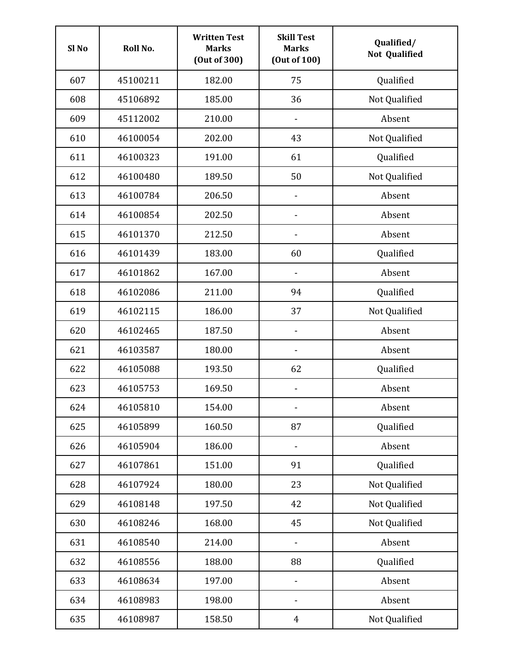| Sl <sub>No</sub> | Roll No. | <b>Written Test</b><br><b>Marks</b><br>(Out of 300) | <b>Skill Test</b><br><b>Marks</b><br>(Out of 100) | Qualified/<br><b>Not Qualified</b> |
|------------------|----------|-----------------------------------------------------|---------------------------------------------------|------------------------------------|
| 607              | 45100211 | 182.00                                              | 75                                                | Qualified                          |
| 608              | 45106892 | 185.00                                              | 36                                                | Not Qualified                      |
| 609              | 45112002 | 210.00                                              |                                                   | Absent                             |
| 610              | 46100054 | 202.00                                              | 43                                                | Not Qualified                      |
| 611              | 46100323 | 191.00                                              | 61                                                | Qualified                          |
| 612              | 46100480 | 189.50                                              | 50                                                | Not Qualified                      |
| 613              | 46100784 | 206.50                                              | $\qquad \qquad \blacksquare$                      | Absent                             |
| 614              | 46100854 | 202.50                                              |                                                   | Absent                             |
| 615              | 46101370 | 212.50                                              |                                                   | Absent                             |
| 616              | 46101439 | 183.00                                              | 60                                                | Qualified                          |
| 617              | 46101862 | 167.00                                              |                                                   | Absent                             |
| 618              | 46102086 | 211.00                                              | 94                                                | Qualified                          |
| 619              | 46102115 | 186.00                                              | 37                                                | Not Qualified                      |
| 620              | 46102465 | 187.50                                              |                                                   | Absent                             |
| 621              | 46103587 | 180.00                                              |                                                   | Absent                             |
| 622              | 46105088 | 193.50                                              | 62                                                | Qualified                          |
| 623              | 46105753 | 169.50                                              | $\qquad \qquad \blacksquare$                      | Absent                             |
| 624              | 46105810 | 154.00                                              |                                                   | Absent                             |
| 625              | 46105899 | 160.50                                              | 87                                                | Qualified                          |
| 626              | 46105904 | 186.00                                              |                                                   | Absent                             |
| 627              | 46107861 | 151.00                                              | 91                                                | Qualified                          |
| 628              | 46107924 | 180.00                                              | 23                                                | Not Qualified                      |
| 629              | 46108148 | 197.50                                              | 42                                                | Not Qualified                      |
| 630              | 46108246 | 168.00                                              | 45                                                | Not Qualified                      |
| 631              | 46108540 | 214.00                                              | $\qquad \qquad \blacksquare$                      | Absent                             |
| 632              | 46108556 | 188.00                                              | 88                                                | Qualified                          |
| 633              | 46108634 | 197.00                                              |                                                   | Absent                             |
| 634              | 46108983 | 198.00                                              |                                                   | Absent                             |
| 635              | 46108987 | 158.50                                              | $\overline{4}$                                    | Not Qualified                      |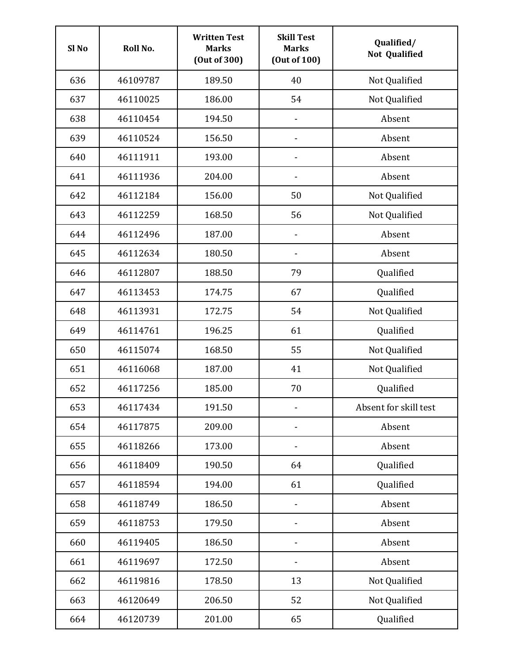| Sl <sub>No</sub> | Roll No. | <b>Written Test</b><br><b>Marks</b><br>(Out of 300) | <b>Skill Test</b><br><b>Marks</b><br>(Out of 100) | Qualified/<br><b>Not Qualified</b> |
|------------------|----------|-----------------------------------------------------|---------------------------------------------------|------------------------------------|
| 636              | 46109787 | 189.50                                              | 40                                                | Not Qualified                      |
| 637              | 46110025 | 186.00                                              | 54                                                | Not Qualified                      |
| 638              | 46110454 | 194.50                                              |                                                   | Absent                             |
| 639              | 46110524 | 156.50                                              |                                                   | Absent                             |
| 640              | 46111911 | 193.00                                              | $\qquad \qquad \blacksquare$                      | Absent                             |
| 641              | 46111936 | 204.00                                              | -                                                 | Absent                             |
| 642              | 46112184 | 156.00                                              | 50                                                | Not Qualified                      |
| 643              | 46112259 | 168.50                                              | 56                                                | Not Qualified                      |
| 644              | 46112496 | 187.00                                              |                                                   | Absent                             |
| 645              | 46112634 | 180.50                                              |                                                   | Absent                             |
| 646              | 46112807 | 188.50                                              | 79                                                | Qualified                          |
| 647              | 46113453 | 174.75                                              | 67                                                | Qualified                          |
| 648              | 46113931 | 172.75                                              | 54                                                | Not Qualified                      |
| 649              | 46114761 | 196.25                                              | 61                                                | Qualified                          |
| 650              | 46115074 | 168.50                                              | 55                                                | Not Qualified                      |
| 651              | 46116068 | 187.00                                              | 41                                                | Not Qualified                      |
| 652              | 46117256 | 185.00                                              | 70                                                | Qualified                          |
| 653              | 46117434 | 191.50                                              |                                                   | Absent for skill test              |
| 654              | 46117875 | 209.00                                              |                                                   | Absent                             |
| 655              | 46118266 | 173.00                                              |                                                   | Absent                             |
| 656              | 46118409 | 190.50                                              | 64                                                | Qualified                          |
| 657              | 46118594 | 194.00                                              | 61                                                | Qualified                          |
| 658              | 46118749 | 186.50                                              | -                                                 | Absent                             |
| 659              | 46118753 | 179.50                                              | $\overline{\phantom{a}}$                          | Absent                             |
| 660              | 46119405 | 186.50                                              | $\qquad \qquad \blacksquare$                      | Absent                             |
| 661              | 46119697 | 172.50                                              |                                                   | Absent                             |
| 662              | 46119816 | 178.50                                              | 13                                                | Not Qualified                      |
| 663              | 46120649 | 206.50                                              | 52                                                | Not Qualified                      |
| 664              | 46120739 | 201.00                                              | 65                                                | Qualified                          |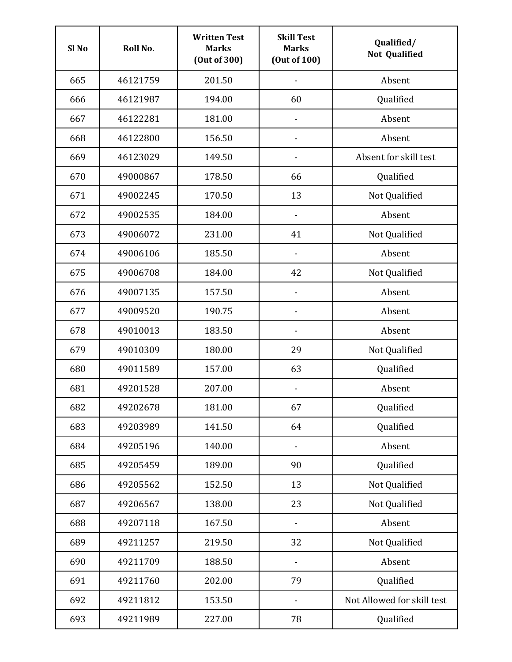| Sl <sub>No</sub> | Roll No. | <b>Written Test</b><br><b>Marks</b><br>(Out of 300) | <b>Skill Test</b><br><b>Marks</b><br>(Out of 100) | Qualified/<br><b>Not Qualified</b> |
|------------------|----------|-----------------------------------------------------|---------------------------------------------------|------------------------------------|
| 665              | 46121759 | 201.50                                              |                                                   | Absent                             |
| 666              | 46121987 | 194.00                                              | 60                                                | Qualified                          |
| 667              | 46122281 | 181.00                                              | $\overline{a}$                                    | Absent                             |
| 668              | 46122800 | 156.50                                              | -                                                 | Absent                             |
| 669              | 46123029 | 149.50                                              | $\qquad \qquad \blacksquare$                      | Absent for skill test              |
| 670              | 49000867 | 178.50                                              | 66                                                | Qualified                          |
| 671              | 49002245 | 170.50                                              | 13                                                | Not Qualified                      |
| 672              | 49002535 | 184.00                                              |                                                   | Absent                             |
| 673              | 49006072 | 231.00                                              | 41                                                | Not Qualified                      |
| 674              | 49006106 | 185.50                                              |                                                   | Absent                             |
| 675              | 49006708 | 184.00                                              | 42                                                | Not Qualified                      |
| 676              | 49007135 | 157.50                                              |                                                   | Absent                             |
| 677              | 49009520 | 190.75                                              |                                                   | Absent                             |
| 678              | 49010013 | 183.50                                              |                                                   | Absent                             |
| 679              | 49010309 | 180.00                                              | 29                                                | Not Qualified                      |
| 680              | 49011589 | 157.00                                              | 63                                                | Qualified                          |
| 681              | 49201528 | 207.00                                              | $\qquad \qquad \blacksquare$                      | Absent                             |
| 682              | 49202678 | 181.00                                              | 67                                                | Qualified                          |
| 683              | 49203989 | 141.50                                              | 64                                                | Qualified                          |
| 684              | 49205196 | 140.00                                              | -                                                 | Absent                             |
| 685              | 49205459 | 189.00                                              | 90                                                | Qualified                          |
| 686              | 49205562 | 152.50                                              | 13                                                | Not Qualified                      |
| 687              | 49206567 | 138.00                                              | 23                                                | Not Qualified                      |
| 688              | 49207118 | 167.50                                              | $\qquad \qquad \blacksquare$                      | Absent                             |
| 689              | 49211257 | 219.50                                              | 32                                                | Not Qualified                      |
| 690              | 49211709 | 188.50                                              |                                                   | Absent                             |
| 691              | 49211760 | 202.00                                              | 79                                                | Qualified                          |
| 692              | 49211812 | 153.50                                              |                                                   | Not Allowed for skill test         |
| 693              | 49211989 | 227.00                                              | 78                                                | Qualified                          |